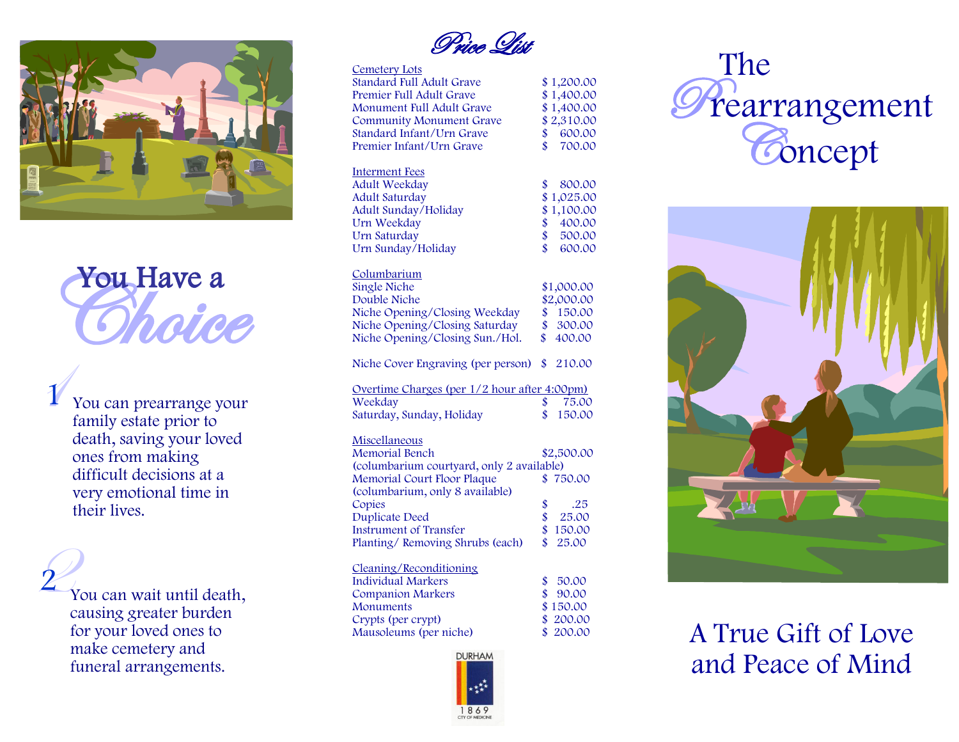

You Have a

1 1 You can prearrange your family estate prior to death, saving your loved ones from making difficult decisions at a very emotional time in their lives.

2 1 You can wait until death, causing greater burden for your loved ones to make cemetery and funeral arrangements.

2

Price List

| <b>Cemetery Lots</b>                         |                    |                             |
|----------------------------------------------|--------------------|-----------------------------|
| <b>Standard Full Adult Grave</b>             | \$                 | 1,200.00                    |
| Premier Full Adult Grave                     |                    | \$1,400.00                  |
| Monument Full Adult Grave                    |                    | \$1,400.00                  |
| <b>Community Monument Grave</b>              |                    | $\frac{$2,310.00}{$600.00}$ |
| Standard Infant/Urn Grave                    |                    |                             |
| Premier Infant/Urn Grave                     | $\mathbf{\hat{S}}$ | 700.00                      |
| <b>Interment Fees</b>                        |                    |                             |
| Adult Weekday                                | \$                 | 800.00                      |
| <b>Adult Saturday</b>                        | \$                 | 1,025.00                    |
| Adult Sunday/Holiday                         |                    | 1,100.00                    |
| Urn Weekday                                  |                    | 400.00                      |
| Urn Saturday                                 | \$\$\$             | 500.00                      |
| Urn Sunday/Holiday                           | \$                 | 600.00                      |
|                                              |                    |                             |
| Columbarium                                  |                    |                             |
| <b>Single Niche</b>                          |                    | \$1,000.00                  |
| Double Niche                                 |                    | \$2,000.00                  |
| Niche Opening/Closing Weekday                |                    | \$150.00                    |
| Niche Opening/Closing Saturday               | \$                 | 300.00                      |
| Niche Opening/Closing Sun./Hol.              |                    | \$400.00                    |
|                                              |                    |                             |
| Niche Cover Engraving (per person)           | \$                 | 210.00                      |
| Overtime Charges (per 1/2 hour after 4:00pm) |                    |                             |
| Weekday                                      | \$                 | 75.00                       |
| Saturday, Sunday, Holiday                    | \$                 | 150.00                      |
| Miscellaneous                                |                    |                             |
| <b>Memorial Bench</b>                        |                    | \$2,500.00                  |
| (columbarium courtyard, only 2 available)    |                    |                             |
| Memorial Court Floor Plaque                  |                    | \$750.00                    |
| (columbarium, only 8 available)              |                    |                             |
| Copies                                       |                    | .25                         |
| <b>Duplicate Deed</b>                        | \$<br>\$           | 25.00                       |
| <b>Instrument of Transfer</b>                | \$                 | 150.00                      |
| Planting/Removing Shrubs (each)              | \$                 | 25.00                       |
|                                              |                    |                             |
| Cleaning/Reconditioning                      |                    |                             |
| <b>Individual Markers</b>                    | \$                 | 50.00                       |
| <b>Companion Markers</b>                     | \$                 | 90.00                       |
| Monuments                                    | \$                 | 150.00                      |
| Crypts (per crypt)                           | \$                 | 200.00                      |
| Mausoleums (per niche)                       |                    | 200.00                      |
|                                              |                    |                             |







A True Gift of Love and Peace of Mind